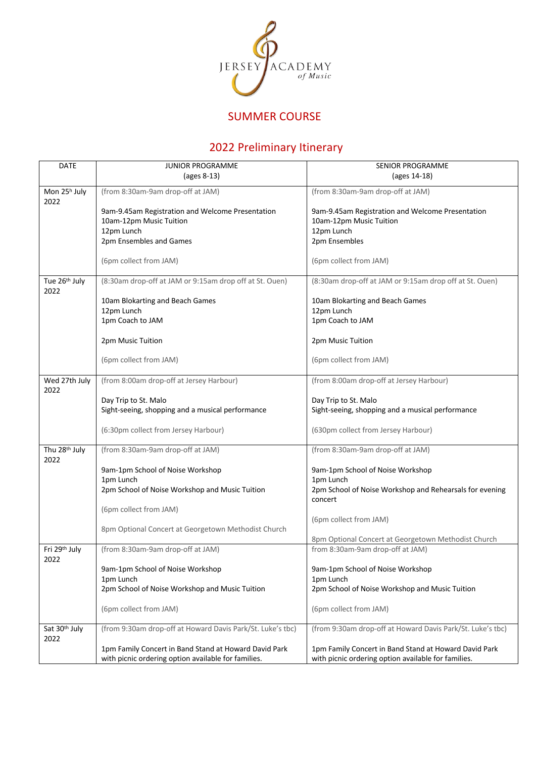

## SUMMER COURSE

## 2022 Preliminary Itinerary

| DATE                              | <b>JUNIOR PROGRAMME</b>                                    | <b>SENIOR PROGRAMME</b>                                            |  |
|-----------------------------------|------------------------------------------------------------|--------------------------------------------------------------------|--|
|                                   | (ages 8-13)                                                | (ages 14-18)                                                       |  |
| Mon 25 <sup>h</sup> July          | (from 8:30am-9am drop-off at JAM)                          | (from 8:30am-9am drop-off at JAM)                                  |  |
| 2022                              |                                                            |                                                                    |  |
|                                   | 9am-9.45am Registration and Welcome Presentation           | 9am-9.45am Registration and Welcome Presentation                   |  |
|                                   | 10am-12pm Music Tuition                                    | 10am-12pm Music Tuition                                            |  |
|                                   | 12pm Lunch<br>2pm Ensembles and Games                      | 12pm Lunch<br>2pm Ensembles                                        |  |
|                                   |                                                            |                                                                    |  |
|                                   | (6pm collect from JAM)                                     | (6pm collect from JAM)                                             |  |
| Tue 26 <sup>th</sup> July<br>2022 | (8:30am drop-off at JAM or 9:15am drop off at St. Ouen)    | (8:30am drop-off at JAM or 9:15am drop off at St. Ouen)            |  |
|                                   | 10am Blokarting and Beach Games                            | 10am Blokarting and Beach Games                                    |  |
|                                   | 12pm Lunch                                                 | 12pm Lunch                                                         |  |
|                                   | 1pm Coach to JAM                                           | 1pm Coach to JAM                                                   |  |
|                                   | 2pm Music Tuition                                          | 2pm Music Tuition                                                  |  |
|                                   | (6pm collect from JAM)                                     | (6pm collect from JAM)                                             |  |
| Wed 27th July<br>2022             | (from 8:00am drop-off at Jersey Harbour)                   | (from 8:00am drop-off at Jersey Harbour)                           |  |
|                                   | Day Trip to St. Malo                                       | Day Trip to St. Malo                                               |  |
|                                   | Sight-seeing, shopping and a musical performance           | Sight-seeing, shopping and a musical performance                   |  |
|                                   |                                                            |                                                                    |  |
|                                   | (6:30pm collect from Jersey Harbour)                       | (630pm collect from Jersey Harbour)                                |  |
| Thu 28th July                     | (from 8:30am-9am drop-off at JAM)                          | (from 8:30am-9am drop-off at JAM)                                  |  |
| 2022                              |                                                            |                                                                    |  |
|                                   | 9am-1pm School of Noise Workshop                           | 9am-1pm School of Noise Workshop                                   |  |
|                                   | 1pm Lunch                                                  | 1pm Lunch                                                          |  |
|                                   | 2pm School of Noise Workshop and Music Tuition             | 2pm School of Noise Workshop and Rehearsals for evening<br>concert |  |
|                                   | (6pm collect from JAM)                                     |                                                                    |  |
|                                   |                                                            | (6pm collect from JAM)                                             |  |
|                                   | 8pm Optional Concert at Georgetown Methodist Church        |                                                                    |  |
|                                   |                                                            | 8pm Optional Concert at Georgetown Methodist Church                |  |
| Fri 29th July<br>2022             | (from 8:30am-9am drop-off at JAM)                          | from 8:30am-9am drop-off at JAM)                                   |  |
|                                   | 9am-1pm School of Noise Workshop                           | 9am-1pm School of Noise Workshop                                   |  |
|                                   | 1pm Lunch                                                  | 1pm Lunch                                                          |  |
|                                   | 2pm School of Noise Workshop and Music Tuition             | 2pm School of Noise Workshop and Music Tuition                     |  |
|                                   | (6pm collect from JAM)                                     | (6pm collect from JAM)                                             |  |
| Sat 30th July                     | (from 9:30am drop-off at Howard Davis Park/St. Luke's tbc) | (from 9:30am drop-off at Howard Davis Park/St. Luke's tbc)         |  |
| 2022                              |                                                            |                                                                    |  |
|                                   | 1pm Family Concert in Band Stand at Howard David Park      | 1pm Family Concert in Band Stand at Howard David Park              |  |
|                                   | with picnic ordering option available for families.        | with picnic ordering option available for families.                |  |